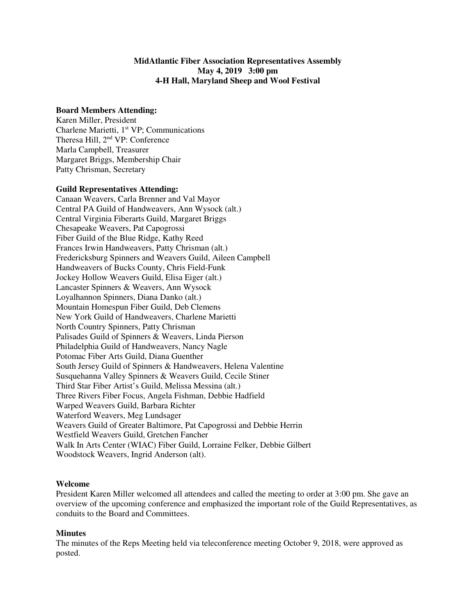## **MidAtlantic Fiber Association Representatives Assembly May 4, 2019 3:00 pm 4-H Hall, Maryland Sheep and Wool Festival**

#### **Board Members Attending:**

Karen Miller, President Charlene Marietti, 1<sup>st</sup> VP; Communications Theresa Hill, 2nd VP: Conference Marla Campbell, Treasurer Margaret Briggs, Membership Chair Patty Chrisman, Secretary

### **Guild Representatives Attending:**

Canaan Weavers, Carla Brenner and Val Mayor Central PA Guild of Handweavers, Ann Wysock (alt.) Central Virginia Fiberarts Guild, Margaret Briggs Chesapeake Weavers, Pat Capogrossi Fiber Guild of the Blue Ridge, Kathy Reed Frances Irwin Handweavers, Patty Chrisman (alt.) Fredericksburg Spinners and Weavers Guild, Aileen Campbell Handweavers of Bucks County, Chris Field-Funk Jockey Hollow Weavers Guild, Elisa Eiger (alt.) Lancaster Spinners & Weavers, Ann Wysock Loyalhannon Spinners, Diana Danko (alt.) Mountain Homespun Fiber Guild, Deb Clemens New York Guild of Handweavers, Charlene Marietti North Country Spinners, Patty Chrisman Palisades Guild of Spinners & Weavers, Linda Pierson Philadelphia Guild of Handweavers, Nancy Nagle Potomac Fiber Arts Guild, Diana Guenther South Jersey Guild of Spinners & Handweavers, Helena Valentine Susquehanna Valley Spinners & Weavers Guild, Cecile Stiner Third Star Fiber Artist's Guild, Melissa Messina (alt.) Three Rivers Fiber Focus, Angela Fishman, Debbie Hadfield Warped Weavers Guild, Barbara Richter Waterford Weavers, Meg Lundsager Weavers Guild of Greater Baltimore, Pat Capogrossi and Debbie Herrin Westfield Weavers Guild, Gretchen Fancher Walk In Arts Center (WIAC) Fiber Guild, Lorraine Felker, Debbie Gilbert Woodstock Weavers, Ingrid Anderson (alt).

## **Welcome**

President Karen Miller welcomed all attendees and called the meeting to order at 3:00 pm. She gave an overview of the upcoming conference and emphasized the important role of the Guild Representatives, as conduits to the Board and Committees.

#### **Minutes**

The minutes of the Reps Meeting held via teleconference meeting October 9, 2018, were approved as posted.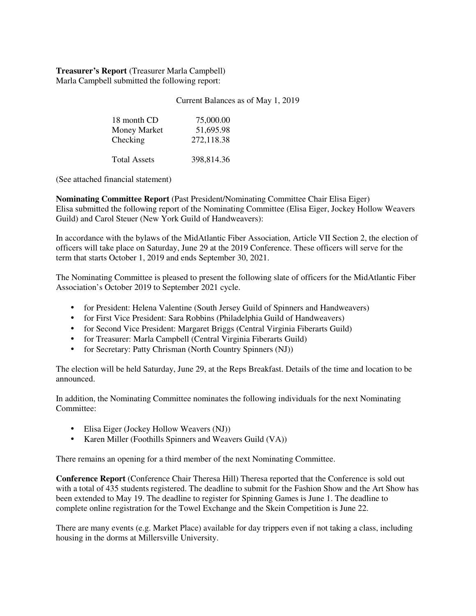**Treasurer's Report** (Treasurer Marla Campbell) Marla Campbell submitted the following report:

Current Balances as of May 1, 2019

| 18 month CD<br>Money Market<br>Checking | 75,000.00<br>51,695.98<br>272,118.38 |
|-----------------------------------------|--------------------------------------|
| <b>Total Assets</b>                     | 398.814.36                           |

(See attached financial statement)

**Nominating Committee Report** (Past President/Nominating Committee Chair Elisa Eiger) Elisa submitted the following report of the Nominating Committee (Elisa Eiger, Jockey Hollow Weavers Guild) and Carol Steuer (New York Guild of Handweavers):

In accordance with the bylaws of the MidAtlantic Fiber Association, Article VII Section 2, the election of officers will take place on Saturday, June 29 at the 2019 Conference. These officers will serve for the term that starts October 1, 2019 and ends September 30, 2021.

The Nominating Committee is pleased to present the following slate of officers for the MidAtlantic Fiber Association's October 2019 to September 2021 cycle.

- for President: Helena Valentine (South Jersey Guild of Spinners and Handweavers)
- for First Vice President: Sara Robbins (Philadelphia Guild of Handweavers)
- for Second Vice President: Margaret Briggs (Central Virginia Fiberarts Guild)
- for Treasurer: Marla Campbell (Central Virginia Fiberarts Guild)
- for Secretary: Patty Chrisman (North Country Spinners (NJ))

The election will be held Saturday, June 29, at the Reps Breakfast. Details of the time and location to be announced.

In addition, the Nominating Committee nominates the following individuals for the next Nominating Committee:

- Elisa Eiger (Jockey Hollow Weavers (NJ))
- Karen Miller (Foothills Spinners and Weavers Guild (VA))

There remains an opening for a third member of the next Nominating Committee.

**Conference Report** (Conference Chair Theresa Hill) Theresa reported that the Conference is sold out with a total of 435 students registered. The deadline to submit for the Fashion Show and the Art Show has been extended to May 19. The deadline to register for Spinning Games is June 1. The deadline to complete online registration for the Towel Exchange and the Skein Competition is June 22.

There are many events (e.g. Market Place) available for day trippers even if not taking a class, including housing in the dorms at Millersville University.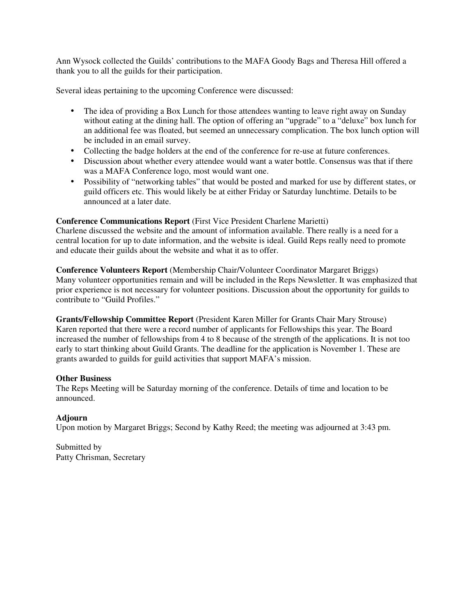Ann Wysock collected the Guilds' contributions to the MAFA Goody Bags and Theresa Hill offered a thank you to all the guilds for their participation.

Several ideas pertaining to the upcoming Conference were discussed:

- The idea of providing a Box Lunch for those attendees wanting to leave right away on Sunday without eating at the dining hall. The option of offering an "upgrade" to a "deluxe" box lunch for an additional fee was floated, but seemed an unnecessary complication. The box lunch option will be included in an email survey.
- Collecting the badge holders at the end of the conference for re-use at future conferences.
- Discussion about whether every attendee would want a water bottle. Consensus was that if there was a MAFA Conference logo, most would want one.
- Possibility of "networking tables" that would be posted and marked for use by different states, or guild officers etc. This would likely be at either Friday or Saturday lunchtime. Details to be announced at a later date.

## **Conference Communications Report** (First Vice President Charlene Marietti)

Charlene discussed the website and the amount of information available. There really is a need for a central location for up to date information, and the website is ideal. Guild Reps really need to promote and educate their guilds about the website and what it as to offer.

**Conference Volunteers Report** (Membership Chair/Volunteer Coordinator Margaret Briggs) Many volunteer opportunities remain and will be included in the Reps Newsletter. It was emphasized that prior experience is not necessary for volunteer positions. Discussion about the opportunity for guilds to contribute to "Guild Profiles."

**Grants/Fellowship Committee Report** (President Karen Miller for Grants Chair Mary Strouse) Karen reported that there were a record number of applicants for Fellowships this year. The Board increased the number of fellowships from 4 to 8 because of the strength of the applications. It is not too early to start thinking about Guild Grants. The deadline for the application is November 1. These are grants awarded to guilds for guild activities that support MAFA's mission.

## **Other Business**

The Reps Meeting will be Saturday morning of the conference. Details of time and location to be announced.

## **Adjourn**

Upon motion by Margaret Briggs; Second by Kathy Reed; the meeting was adjourned at 3:43 pm.

Submitted by Patty Chrisman, Secretary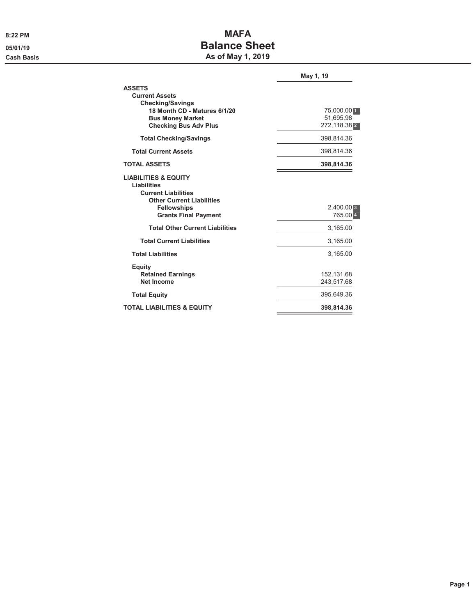# 8:22 PM **MAFA** 05/01/19 **Balance Sheet** Cash Basis **As of May 1, 2019**

|                                                                                                                                                                              | May 1, 19                |
|------------------------------------------------------------------------------------------------------------------------------------------------------------------------------|--------------------------|
| <b>ASSETS</b><br><b>Current Assets</b><br><b>Checking/Savings</b><br>18 Month CD - Matures 6/1/20<br><b>Bus Money Market</b>                                                 | 75,000.00 1<br>51,695.98 |
| <b>Checking Bus Adv Plus</b>                                                                                                                                                 | 272,118.38 2             |
| <b>Total Checking/Savings</b>                                                                                                                                                | 398,814.36               |
| <b>Total Current Assets</b>                                                                                                                                                  | 398,814.36               |
| <b>TOTAL ASSETS</b>                                                                                                                                                          | 398,814.36               |
| <b>LIABILITIES &amp; EQUITY</b><br><b>Liabilities</b><br><b>Current Liabilities</b><br><b>Other Current Liabilities</b><br><b>Fellowships</b><br><b>Grants Final Payment</b> | $2,400.00$ 3<br>765.00 4 |
| <b>Total Other Current Liabilities</b>                                                                                                                                       | 3,165.00                 |
| <b>Total Current Liabilities</b>                                                                                                                                             | 3,165.00                 |
| <b>Total Liabilities</b>                                                                                                                                                     | 3,165.00                 |
| <b>Equity</b><br><b>Retained Earnings</b><br>Net Income                                                                                                                      | 152,131.68<br>243,517.68 |
| <b>Total Equity</b>                                                                                                                                                          | 395,649.36               |
| <b>TOTAL LIABILITIES &amp; EQUITY</b>                                                                                                                                        | 398,814.36               |